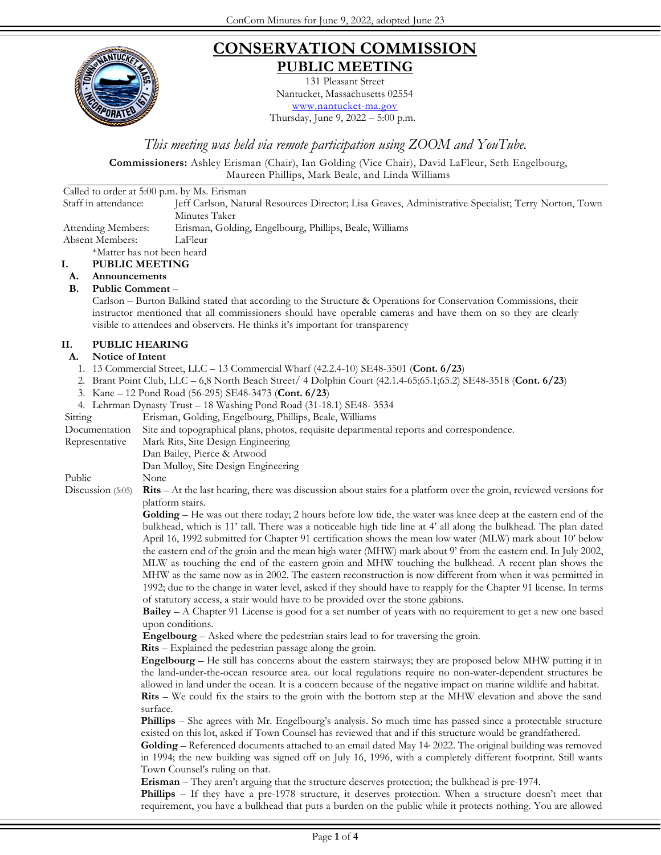

## **CONSERVATION COMMISSION PUBLIC MEETING**

131 Pleasant Street Nantucket, Massachusetts 02554 [www.nantucket-ma.gov](http://www.nantucket-ma.gov/) Thursday, June 9, 2022 – 5:00 p.m.

*This meeting was held via remote participation using ZOOM and YouTube.*

**Commissioners:** Ashley Erisman (Chair), Ian Golding (Vice Chair), David LaFleur, Seth Engelbourg, Maureen Phillips, Mark Beale, and Linda Williams

Called to order at 5:00 p.m. by Ms. Erisman Staff in attendance: Jeff Carlson, Natural Resources Director; Lisa Graves, Administrative Specialist; Terry Norton, Town Minutes Taker Attending Members: Erisman, Golding, Engelbourg, Phillips, Beale, Williams Absent Members: LaFleur \*Matter has not been heard **I. PUBLIC MEETING A. Announcements B. Public Comment** – Carlson – Burton Balkind stated that according to the Structure & Operations for Conservation Commissions, their instructor mentioned that all commissioners should have operable cameras and have them on so they are clearly visible to attendees and observers. He thinks it's important for transparency**II. PUBLIC HEARING A. Notice of Intent**  1. 13 Commercial Street, LLC – 13 Commercial Wharf (42.2.4-10) SE48-3501 (**Cont. 6/23**) 2. Brant Point Club, LLC – 6,8 North Beach Street/ 4 Dolphin Court (42.1.4-65;65.1;65.2) SE48-3518 (**Cont. 6/23**) 3. Kane – 12 Pond Road (56-295) SE48-3473 (**Cont. 6/23**) 4. Lehrman Dynasty Trust – 18 Washing Pond Road (31-18.1) SE48- 3534 Sitting Erisman, Golding, Engelbourg, Phillips, Beale, Williams Documentation Site and topographical plans, photos, requisite departmental reports and correspondence. Representative Mark Rits, Site Design Engineering Dan Bailey, Pierce & Atwood Dan Mulloy, Site Design Engineering Public None Discussion (5:05) **Rits** – At the last hearing, there was discussion about stairs for a platform over the groin, reviewed versions for platform stairs. **Golding** – He was out there today; 2 hours before low tide, the water was knee deep at the eastern end of the bulkhead, which is 11' tall. There was a noticeable high tide line at 4' all along the bulkhead. The plan dated April 16, 1992 submitted for Chapter 91 certification shows the mean low water (MLW) mark about 10' below the eastern end of the groin and the mean high water (MHW) mark about 9' from the eastern end. In July 2002, MLW as touching the end of the eastern groin and MHW touching the bulkhead. A recent plan shows the MHW as the same now as in 2002. The eastern reconstruction is now different from when it was permitted in 1992; due to the change in water level, asked if they should have to reapply for the Chapter 91 license. In terms of statutory access, a stair would have to be provided over the stone gabions. **Bailey** – A Chapter 91 License is good for a set number of years with no requirement to get a new one based upon conditions. **Engelbourg** – Asked where the pedestrian stairs lead to for traversing the groin. **Rits** – Explained the pedestrian passage along the groin. **Engelbourg** – He still has concerns about the eastern stairways; they are proposed below MHW putting it in the land-under-the-ocean resource area. our local regulations require no non-water-dependent structures be allowed in land under the ocean. It is a concern because of the negative impact on marine wildlife and habitat. **Rits** – We could fix the stairs to the groin with the bottom step at the MHW elevation and above the sand surface. **Phillips** – She agrees with Mr. Engelbourg's analysis. So much time has passed since a protectable structure existed on this lot, asked if Town Counsel has reviewed that and if this structure would be grandfathered. Golding - Referenced documents attached to an email dated May 14 2022. The original building was removed in 1994; the new building was signed off on July 16, 1996, with a completely different footprint. Still wants Town Counsel's ruling on that. **Erisman** – They aren't arguing that the structure deserves protection; the bulkhead is pre-1974. **Phillips** – If they have a pre-1978 structure, it deserves protection. When a structure doesn't meet that requirement, you have a bulkhead that puts a burden on the public while it protects nothing. You are allowed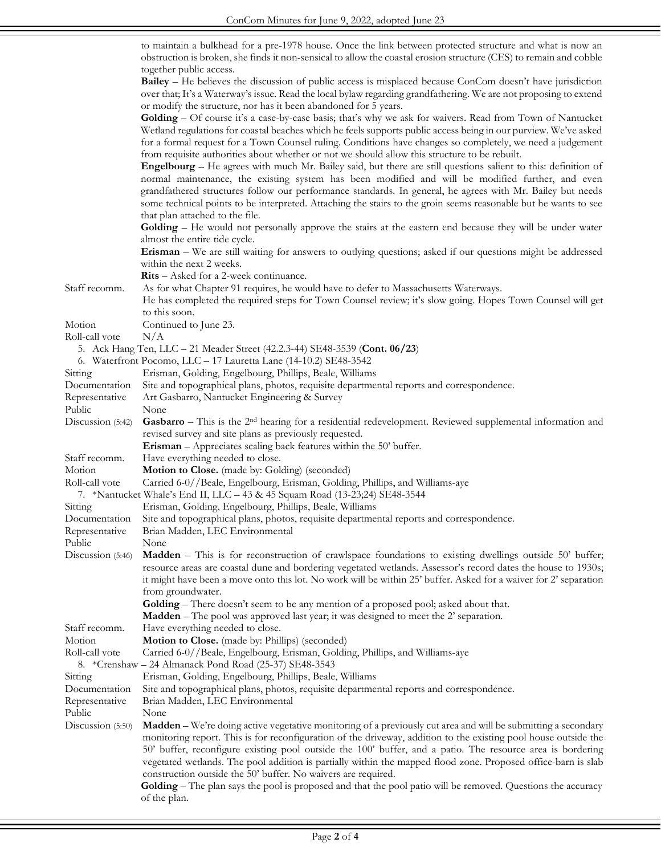|                   | to maintain a bulkhead for a pre-1978 house. Once the link between protected structure and what is now an<br>obstruction is broken, she finds it non-sensical to allow the coastal erosion structure (CES) to remain and cobble                                                                                                                                                                                                                                                        |
|-------------------|----------------------------------------------------------------------------------------------------------------------------------------------------------------------------------------------------------------------------------------------------------------------------------------------------------------------------------------------------------------------------------------------------------------------------------------------------------------------------------------|
|                   | together public access.<br>Bailey – He believes the discussion of public access is misplaced because ConCom doesn't have jurisdiction<br>over that; It's a Waterway's issue. Read the local bylaw regarding grandfathering. We are not proposing to extend<br>or modify the structure, nor has it been abandoned for 5 years.                                                                                                                                                          |
|                   | Golding - Of course it's a case-by-case basis; that's why we ask for waivers. Read from Town of Nantucket<br>Wetland regulations for coastal beaches which he feels supports public access being in our purview. We've asked<br>for a formal request for a Town Counsel ruling. Conditions have changes so completely, we need a judgement<br>from requisite authorities about whether or not we should allow this structure to be rebuilt.                                            |
|                   | Engelbourg – He agrees with much Mr. Bailey said, but there are still questions salient to this: definition of<br>normal maintenance, the existing system has been modified and will be modified further, and even<br>grandfathered structures follow our performance standards. In general, he agrees with Mr. Bailey but needs<br>some technical points to be interpreted. Attaching the stairs to the groin seems reasonable but he wants to see<br>that plan attached to the file. |
|                   | Golding – He would not personally approve the stairs at the eastern end because they will be under water<br>almost the entire tide cycle.                                                                                                                                                                                                                                                                                                                                              |
|                   | Erisman – We are still waiting for answers to outlying questions; asked if our questions might be addressed<br>within the next 2 weeks.                                                                                                                                                                                                                                                                                                                                                |
|                   | <b>Rits</b> – Asked for a 2-week continuance.                                                                                                                                                                                                                                                                                                                                                                                                                                          |
| Staff recomm.     | As for what Chapter 91 requires, he would have to defer to Massachusetts Waterways.<br>He has completed the required steps for Town Counsel review; it's slow going. Hopes Town Counsel will get<br>to this soon.                                                                                                                                                                                                                                                                      |
| Motion            | Continued to June 23.                                                                                                                                                                                                                                                                                                                                                                                                                                                                  |
| Roll-call vote    | N/A                                                                                                                                                                                                                                                                                                                                                                                                                                                                                    |
|                   | 5. Ack Hang Ten, LLC - 21 Meader Street (42.2.3-44) SE48-3539 (Cont. 06/23)                                                                                                                                                                                                                                                                                                                                                                                                            |
|                   | 6. Waterfront Pocomo, LLC - 17 Lauretta Lane (14-10.2) SE48-3542                                                                                                                                                                                                                                                                                                                                                                                                                       |
| Sitting           | Erisman, Golding, Engelbourg, Phillips, Beale, Williams                                                                                                                                                                                                                                                                                                                                                                                                                                |
| Documentation     | Site and topographical plans, photos, requisite departmental reports and correspondence.                                                                                                                                                                                                                                                                                                                                                                                               |
| Representative    | Art Gasbarro, Nantucket Engineering & Survey                                                                                                                                                                                                                                                                                                                                                                                                                                           |
| Public            | None                                                                                                                                                                                                                                                                                                                                                                                                                                                                                   |
| Discussion (5:42) | <b>Gasbarro</b> – This is the $2nd$ hearing for a residential redevelopment. Reviewed supplemental information and                                                                                                                                                                                                                                                                                                                                                                     |
|                   | revised survey and site plans as previously requested.                                                                                                                                                                                                                                                                                                                                                                                                                                 |
|                   | Erisman - Appreciates scaling back features within the 50' buffer.                                                                                                                                                                                                                                                                                                                                                                                                                     |
| Staff recomm.     | Have everything needed to close.                                                                                                                                                                                                                                                                                                                                                                                                                                                       |
| Motion            | Motion to Close. (made by: Golding) (seconded)                                                                                                                                                                                                                                                                                                                                                                                                                                         |
| Roll-call vote    | Carried 6-0//Beale, Engelbourg, Erisman, Golding, Phillips, and Williams-aye                                                                                                                                                                                                                                                                                                                                                                                                           |
|                   | 7. *Nantucket Whale's End II, LLC - 43 & 45 Squam Road (13-23;24) SE48-3544                                                                                                                                                                                                                                                                                                                                                                                                            |
| Sitting           | Erisman, Golding, Engelbourg, Phillips, Beale, Williams                                                                                                                                                                                                                                                                                                                                                                                                                                |
| Documentation     | Site and topographical plans, photos, requisite departmental reports and correspondence.                                                                                                                                                                                                                                                                                                                                                                                               |
| Representative    | Brian Madden, LEC Environmental                                                                                                                                                                                                                                                                                                                                                                                                                                                        |
| Public            | None                                                                                                                                                                                                                                                                                                                                                                                                                                                                                   |
| Discussion (5:46) | <b>Madden</b> – This is for reconstruction of crawlspace foundations to existing dwellings outside 50' buffer;<br>resource areas are coastal dune and bordering vegetated wetlands. Assessor's record dates the house to 1930s;<br>it might have been a move onto this lot. No work will be within 25' buffer. Asked for a waiver for 2' separation                                                                                                                                    |
|                   | from groundwater.                                                                                                                                                                                                                                                                                                                                                                                                                                                                      |
|                   | <b>Golding</b> – There doesn't seem to be any mention of a proposed pool; asked about that.                                                                                                                                                                                                                                                                                                                                                                                            |
|                   | <b>Madden</b> – The pool was approved last year; it was designed to meet the 2' separation.                                                                                                                                                                                                                                                                                                                                                                                            |
| Staff recomm.     | Have everything needed to close.                                                                                                                                                                                                                                                                                                                                                                                                                                                       |
| Motion            | Motion to Close. (made by: Phillips) (seconded)                                                                                                                                                                                                                                                                                                                                                                                                                                        |
| Roll-call vote    | Carried 6-0//Beale, Engelbourg, Erisman, Golding, Phillips, and Williams-aye<br>8. *Crenshaw – 24 Almanack Pond Road (25-37) SE48-3543                                                                                                                                                                                                                                                                                                                                                 |
| Sitting           | Erisman, Golding, Engelbourg, Phillips, Beale, Williams                                                                                                                                                                                                                                                                                                                                                                                                                                |
| Documentation     | Site and topographical plans, photos, requisite departmental reports and correspondence.                                                                                                                                                                                                                                                                                                                                                                                               |
| Representative    | Brian Madden, LEC Environmental                                                                                                                                                                                                                                                                                                                                                                                                                                                        |
| Public            | None                                                                                                                                                                                                                                                                                                                                                                                                                                                                                   |
| Discussion (5:50) | <b>Madden</b> – We're doing active vegetative monitoring of a previously cut area and will be submitting a secondary<br>monitoring report. This is for reconfiguration of the driveway, addition to the existing pool house outside the                                                                                                                                                                                                                                                |
|                   | 50' buffer, reconfigure existing pool outside the 100' buffer, and a patio. The resource area is bordering<br>vegetated wetlands. The pool addition is partially within the mapped flood zone. Proposed office-barn is slab                                                                                                                                                                                                                                                            |
|                   | construction outside the 50' buffer. No waivers are required.                                                                                                                                                                                                                                                                                                                                                                                                                          |
|                   | Golding - The plan says the pool is proposed and that the pool patio will be removed. Questions the accuracy<br>of the plan.                                                                                                                                                                                                                                                                                                                                                           |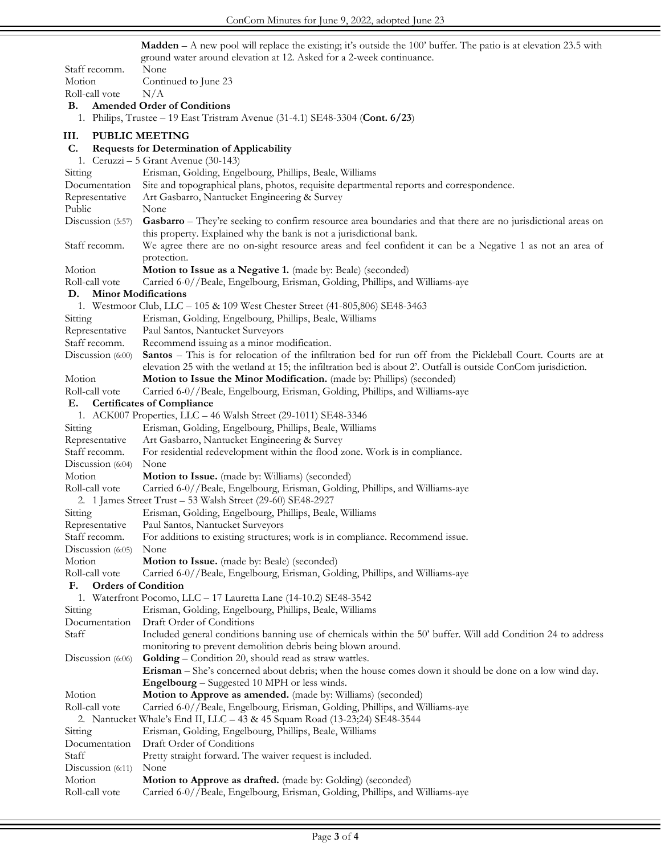**Madden** – A new pool will replace the existing; it's outside the 100' buffer. The patio is at elevation 23.5 with ground water around elevation at 12. Asked for a 2-week continuance.

| Staff recomm.                                                                                  | ground water around elevation at 12. Tisked for a 2-week continuance.<br>None                                                             |  |
|------------------------------------------------------------------------------------------------|-------------------------------------------------------------------------------------------------------------------------------------------|--|
| Motion                                                                                         |                                                                                                                                           |  |
|                                                                                                | Continued to June 23                                                                                                                      |  |
| Roll-call vote                                                                                 | N/A                                                                                                                                       |  |
| В.                                                                                             | <b>Amended Order of Conditions</b>                                                                                                        |  |
|                                                                                                | 1. Philips, Trustee – 19 East Tristram Avenue (31-4.1) SE48-3304 (Cont. 6/23)                                                             |  |
| III.                                                                                           | <b>PUBLIC MEETING</b>                                                                                                                     |  |
| C.                                                                                             | <b>Requests for Determination of Applicability</b>                                                                                        |  |
|                                                                                                | 1. Ceruzzi – 5 Grant Avenue (30-143)                                                                                                      |  |
| Sitting                                                                                        | Erisman, Golding, Engelbourg, Phillips, Beale, Williams                                                                                   |  |
| Documentation                                                                                  | Site and topographical plans, photos, requisite departmental reports and correspondence.                                                  |  |
| Representative                                                                                 | Art Gasbarro, Nantucket Engineering & Survey                                                                                              |  |
| Public                                                                                         | None                                                                                                                                      |  |
| Discussion (5:57)                                                                              | Gasbarro - They're seeking to confirm resource area boundaries and that there are no jurisdictional areas on                              |  |
|                                                                                                | this property. Explained why the bank is not a jurisdictional bank.                                                                       |  |
| Staff recomm.                                                                                  | We agree there are no on-sight resource areas and feel confident it can be a Negative 1 as not an area of                                 |  |
|                                                                                                | protection.                                                                                                                               |  |
| Motion                                                                                         | Motion to Issue as a Negative 1. (made by: Beale) (seconded)                                                                              |  |
| Roll-call vote                                                                                 | Carried 6-0//Beale, Engelbourg, Erisman, Golding, Phillips, and Williams-aye                                                              |  |
| <b>Minor Modifications</b><br>D.                                                               |                                                                                                                                           |  |
|                                                                                                | 1. Westmoor Club, LLC - 105 & 109 West Chester Street (41-805,806) SE48-3463                                                              |  |
| Sitting                                                                                        | Erisman, Golding, Engelbourg, Phillips, Beale, Williams                                                                                   |  |
| Representative                                                                                 | Paul Santos, Nantucket Surveyors                                                                                                          |  |
| Staff recomm.                                                                                  | Recommend issuing as a minor modification.                                                                                                |  |
| Discussion (6:00)                                                                              | Santos - This is for relocation of the infiltration bed for run off from the Pickleball Court. Courts are at                              |  |
|                                                                                                | elevation 25 with the wetland at 15; the infiltration bed is about 2'. Outfall is outside ConCom jurisdiction.                            |  |
| Motion                                                                                         | Motion to Issue the Minor Modification. (made by: Phillips) (seconded)                                                                    |  |
| Roll-call vote                                                                                 | Carried 6-0//Beale, Engelbourg, Erisman, Golding, Phillips, and Williams-aye                                                              |  |
| Е.                                                                                             | <b>Certificates of Compliance</b>                                                                                                         |  |
|                                                                                                | 1. ACK007 Properties, LLC - 46 Walsh Street (29-1011) SE48-3346                                                                           |  |
| Sitting                                                                                        | Erisman, Golding, Engelbourg, Phillips, Beale, Williams                                                                                   |  |
| Representative                                                                                 | Art Gasbarro, Nantucket Engineering & Survey                                                                                              |  |
| Staff recomm.                                                                                  | For residential redevelopment within the flood zone. Work is in compliance.                                                               |  |
| Discussion (6:04)                                                                              | None                                                                                                                                      |  |
| Motion                                                                                         | Motion to Issue. (made by: Williams) (seconded)                                                                                           |  |
| Roll-call vote                                                                                 | Carried 6-0//Beale, Engelbourg, Erisman, Golding, Phillips, and Williams-aye                                                              |  |
| 2. 1 James Street Trust - 53 Walsh Street (29-60) SE48-2927                                    |                                                                                                                                           |  |
| Sitting                                                                                        | Erisman, Golding, Engelbourg, Phillips, Beale, Williams                                                                                   |  |
| Representative                                                                                 | Paul Santos, Nantucket Surveyors                                                                                                          |  |
| Staff recomm.                                                                                  | For additions to existing structures; work is in compliance. Recommend issue.                                                             |  |
| Discussion $(6:05)$                                                                            | None                                                                                                                                      |  |
| Motion                                                                                         | Motion to Issue. (made by: Beale) (seconded)                                                                                              |  |
| Roll-call vote                                                                                 | Carried 6-0//Beale, Engelbourg, Erisman, Golding, Phillips, and Williams-aye                                                              |  |
| F.                                                                                             |                                                                                                                                           |  |
| <b>Orders of Condition</b><br>1. Waterfront Pocomo, LLC - 17 Lauretta Lane (14-10.2) SE48-3542 |                                                                                                                                           |  |
|                                                                                                | Erisman, Golding, Engelbourg, Phillips, Beale, Williams                                                                                   |  |
| Sitting<br>Documentation                                                                       |                                                                                                                                           |  |
|                                                                                                | Draft Order of Conditions<br>Included general conditions banning use of chemicals within the 50' buffer. Will add Condition 24 to address |  |
| Staff                                                                                          |                                                                                                                                           |  |
|                                                                                                | monitoring to prevent demolition debris being blown around.                                                                               |  |
| Discussion $(6:06)$                                                                            | Golding - Condition 20, should read as straw wattles.                                                                                     |  |
|                                                                                                | Erisman - She's concerned about debris; when the house comes down it should be done on a low wind day.                                    |  |
|                                                                                                | <b>Engelbourg</b> – Suggested 10 MPH or less winds.                                                                                       |  |
| Motion                                                                                         | Motion to Approve as amended. (made by: Williams) (seconded)                                                                              |  |
| Roll-call vote                                                                                 | Carried 6-0//Beale, Engelbourg, Erisman, Golding, Phillips, and Williams-aye                                                              |  |
|                                                                                                | 2. Nantucket Whale's End II, LLC - 43 & 45 Squam Road (13-23;24) SE48-3544                                                                |  |
| Sitting                                                                                        | Erisman, Golding, Engelbourg, Phillips, Beale, Williams                                                                                   |  |
| Documentation                                                                                  | Draft Order of Conditions                                                                                                                 |  |
| Staff                                                                                          | Pretty straight forward. The waiver request is included.                                                                                  |  |
| Discussion (6:11)                                                                              | None                                                                                                                                      |  |
| Motion                                                                                         | Motion to Approve as drafted. (made by: Golding) (seconded)                                                                               |  |
| Roll-call vote                                                                                 | Carried 6-0//Beale, Engelbourg, Erisman, Golding, Phillips, and Williams-aye                                                              |  |